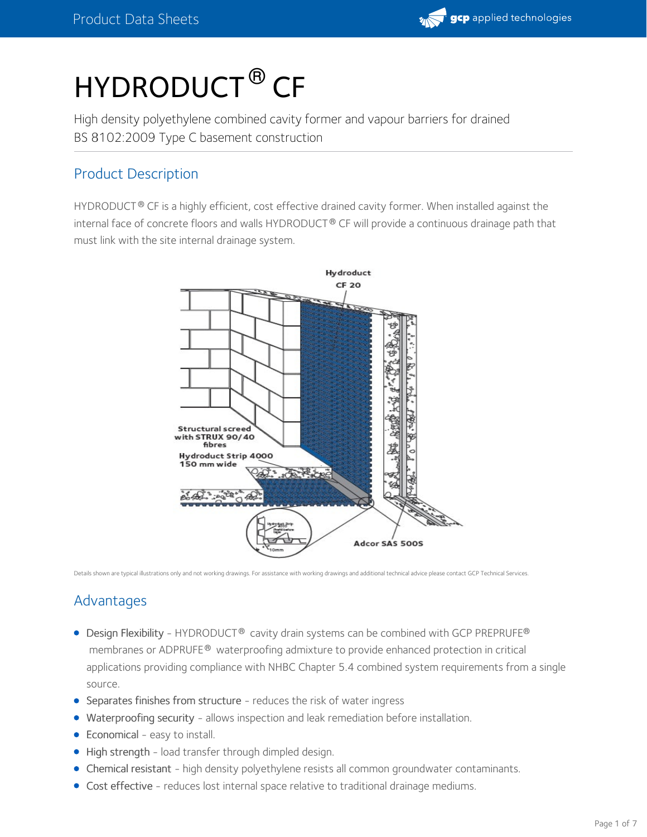

# HYDRODUCT ® CF

High density polyethylene combined cavity former and vapour barriers for drained BS 8102:2009 Type C basement construction

## Product Description

<code>HYDRODUCT®</code> CF is a highly efficient, cost effective drained cavity former. When installed against the  $\,$ internal face of concrete floors and walls <code>HYDRODUCT®</code> CF will provide a continuous drainage path that must link with the site internal drainage system.



Details shown are typical illustrations only and not working drawings. For assistance with working drawings and additional technical advice please contact GCP Technical Services.

## Advantages

- Design Flexibility HYDRODUCT® cavity drain systems can be combined with GCP PREPRUFE® membranes or ADPRUFE® waterproofing admixture to provide enhanced protection in critical applications providing compliance with NHBC Chapter 5.4 combined system requirements from a single source.
- Separates finishes from structure reduces the risk of water ingress
- Waterproofing security allows inspection and leak remediation before installation.
- Economical easy to install.
- High strength load transfer through dimpled design.
- Chemical resistant high density polyethylene resists all common groundwater contaminants.
- Cost effective reduces lost internal space relative to traditional drainage mediums.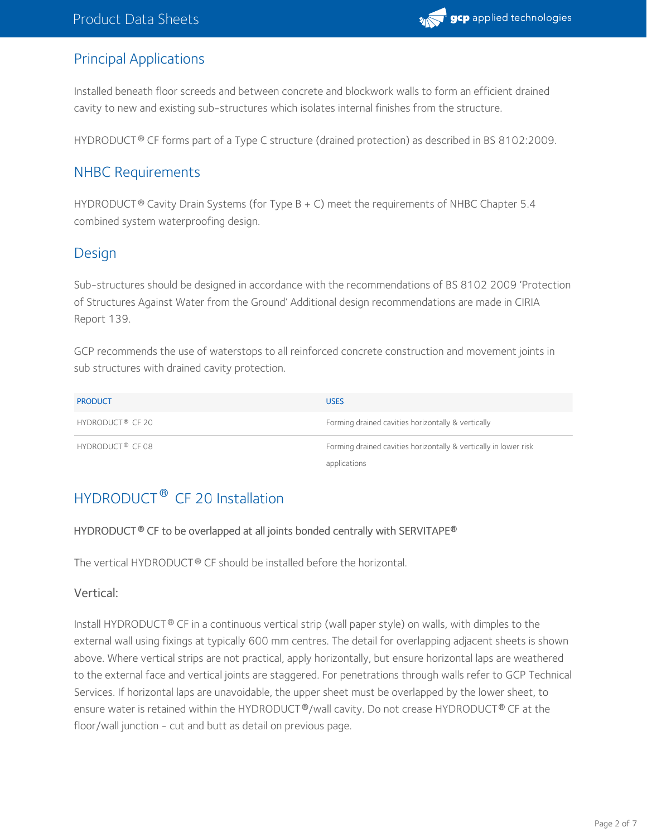

## Principal Applications

Installed beneath floor screeds and between concrete and blockwork walls to form an efficient drained cavity to new and existing sub-structures which isolates internal finishes from the structure.

HYDRODUCT  $^\circ$  CF forms part of a Type C structure (drained protection) as described in BS 8102:2009.

## NHBC Requirements

<code>HYDRODUCT®</code> Cavity Drain Systems (for Type B + C) meet the requirements of NHBC Chapter 5.4  $\,$ combined system waterproofing design.

## **Design**

Sub-structures should be designed in accordance with the recommendations of BS 8102 2009 'Protection of Structures Against Water from the Ground' Additional design recommendations are made in CIRIA Report 139.

GCP recommends the use of waterstops to all reinforced concrete construction and movement joints in sub structures with drained cavity protection.

| <b>PRODUCT</b>               | <b>USES</b>                                                      |
|------------------------------|------------------------------------------------------------------|
| HYDRODUCT <sup>®</sup> CF 20 | Forming drained cavities horizontally & vertically               |
| HYDRODUCT <sup>®</sup> CF 08 | Forming drained cavities horizontally & vertically in lower risk |
|                              | applications                                                     |

# HYDRODUCT<sup>®</sup> CF 20 Installation

#### HYDRODUCT CF to be overlapped at all joints bonded centrally with SERVITAPE **® ®**

The vertical <code>HYDRODUCT®</code> CF should be installed before the horizontal.  $\,$ 

#### Vertical:

Install <code>HYDRODUCT®</code> CF in a continuous vertical strip (wall paper style) on walls, with dimples to the external wall using fixings at typically 600 mm centres. The detail for overlapping adjacent sheets is shown above. Where vertical strips are not practical, apply horizontally, but ensure horizontal laps are weathered to the external face and vertical joints are staggered. For penetrations through walls refer to GCP Technical Services. If horizontal laps are unavoidable, the upper sheet must be overlapped by the lower sheet, to ensure water is retained within the HYDRODUCT®/wall cavity. Do not crease HYDRODUCT® CF at the floor/wall junction - cut and butt as detail on previous page.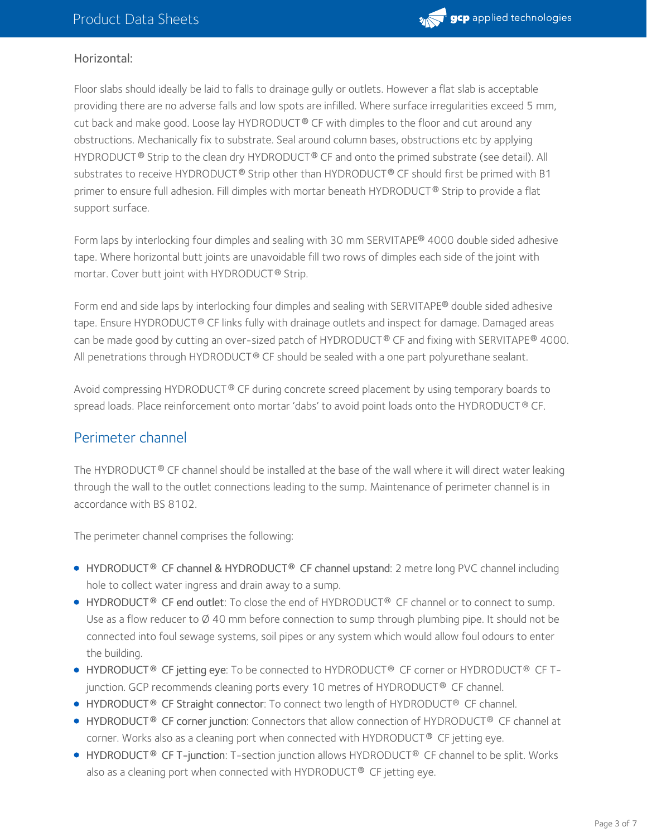

#### Horizontal:

Floor slabs should ideally be laid to falls to drainage gully or outlets. However a flat slab is acceptable providing there are no adverse falls and low spots are infilled. Where surface irregularities exceed 5 mm, cut back and make good. Loose lay <code>HYDRODUCT®</code> CF with dimples to the floor and cut around any obstructions. Mechanically fix to substrate. Seal around column bases, obstructions etc by applying HYDRODUCT  $^\circledR$  Strip to the clean dry HYDRODUCT  $^\circledR$  CF and onto the primed substrate (see detail). All substrates to receive <code>HYDRODUCT®</code> Strip other than <code>HYDRODUCT®</code> CF should first be primed with <code>B1</code> primer to ensure full adhesion. Fill dimples with mortar beneath HYDRODUCT® Strip to provide a flat support surface.

Form laps by interlocking four dimples and sealing with 30 mm SERVITAPE® 4000 double sided adhesive tape. Where horizontal butt joints are unavoidable fill two rows of dimples each side of the joint with mortar. Cover butt joint with HYDRODUCT® Strip.

Form end and side laps by interlocking four dimples and sealing with SERVITAPE® double sided adhesive tape. Ensure HYDRODUCT® CF links fully with drainage outlets and inspect for damage. Damaged areas can be made good by cutting an over-sized patch of HYDRODUCT ® CF and fixing with SERVITAPE® 4000.  $\,$ All penetrations through HYDRODUCT® CF should be sealed with a one part polyurethane sealant.

Avoid compressing <code>HYDRODUCT®</code> CF during concrete screed placement by using temporary boards to spread loads. Place reinforcement onto mortar 'dabs' to avoid point loads onto the <code>HYDRODUCT®</code> CF.

## Perimeter channel

The HYDRODUCT  $^\circledR$  CF channel should be installed at the base of the wall where it will direct water leaking through the wall to the outlet connections leading to the sump. Maintenance of perimeter channel is in accordance with BS 8102.

The perimeter channel comprises the following:

- HYDRODUCT<sup>®</sup> CF channel & HYDRODUCT® CF channel upstand: 2 metre long PVC channel including hole to collect water ingress and drain away to a sump.
- HYDRODUCT<sup>®</sup> CF end outlet: To close the end of HYDRODUCT® CF channel or to connect to sump. Use as a flow reducer to  $\varnothing$  40 mm before connection to sump through plumbing pipe. It should not be connected into foul sewage systems, soil pipes or any system which would allow foul odours to enter the building.
- HYDRODUCT® CF jetting eye: To be connected to HYDRODUCT® CF corner or HYDRODUCT® CF Tjunction. GCP recommends cleaning ports every 10 metres of <code>HYDRODUCT® CF</code> channel.
- HYDRODUCT<sup>®</sup> CF Straight connector: To connect two length of HYDRODUCT<sup>®</sup> CF channel.
- HYDRODUCT® CF corner junction: Connectors that allow connection of HYDRODUCT® CF channel at corner. Works also as a cleaning port when connected with <code>HYDRODUCT® CF</code> jetting eye.
- HYDRODUCT® CF T-junction: T-section junction allows HYDRODUCT® CF channel to be split. Works also as a cleaning port when connected with <code>HYDRODUCT® CF</code> jetting eye.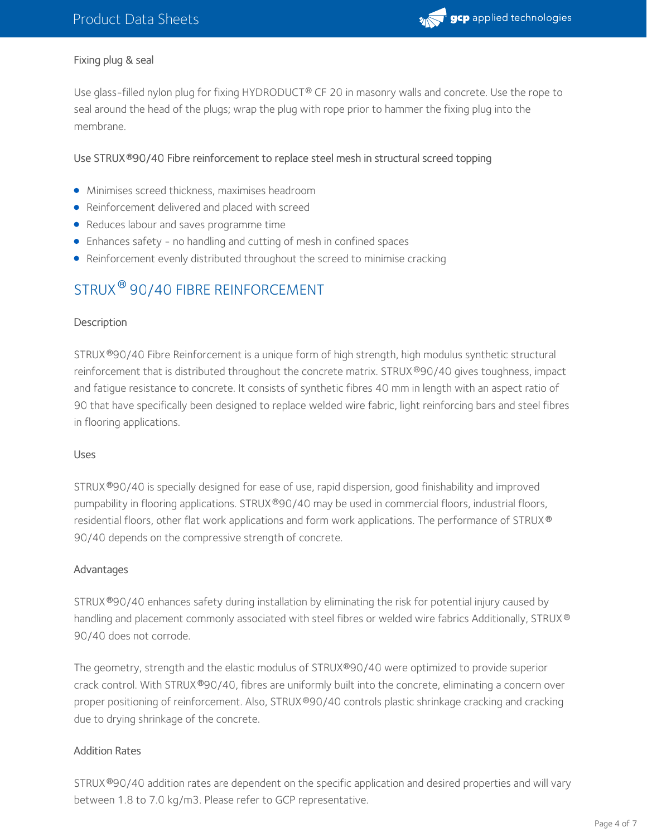

#### Fixing plug & seal

Use glass-filled nylon plug for fixing HYDRODUCT® CF 20 in masonry walls and concrete. Use the rope to seal around the head of the plugs; wrap the plug with rope prior to hammer the fixing plug into the membrane.

#### Use STRUX 90/40 Fibre reinforcement to replace steel mesh in structural screed topping **®**

- Minimises screed thickness, maximises headroom
- Reinforcement delivered and placed with screed
- Reduces labour and saves programme time
- Enhances safety no handling and cutting of mesh in confined spaces
- Reinforcement evenly distributed throughout the screed to minimise cracking

## STRUX  $^\circledR$  90/40 FIBRE REINFORCEMENT

#### **Description**

STRUX®90/40 Fibre Reinforcement is a unique form of high strength, high modulus synthetic structural reinforcement that is distributed throughout the concrete matrix. STRUX®90/40 gives toughness, impact and fatigue resistance to concrete. It consists of synthetic fibres 40 mm in length with an aspect ratio of 90 that have specifically been designed to replace welded wire fabric, light reinforcing bars and steel fibres in flooring applications.

#### Uses

STRUX®90/40 is specially designed for ease of use, rapid dispersion, good finishability and improved pumpability in flooring applications. STRUX®90/40 may be used in commercial floors, industrial floors, residential floors, other flat work applications and form work applications. The performance of STRUX ® 90/40 depends on the compressive strength of concrete.

#### Advantages

STRUX®90/40 enhances safety during installation by eliminating the risk for potential injury caused by handling and placement commonly associated with steel fibres or welded wire fabrics Additionally, STRUX ® 90/40 does not corrode.

The geometry, strength and the elastic modulus of STRUX®90/40 were optimized to provide superior crack control. With STRUX®90/40, fibres are uniformly built into the concrete, eliminating a concern over proper positioning of reinforcement. Also, STRUX®90/40 controls plastic shrinkage cracking and cracking due to drying shrinkage of the concrete.

#### Addition Rates

STRUX®90/40 addition rates are dependent on the specific application and desired properties and will vary between 1.8 to 7.0 kg/m3. Please refer to GCP representative.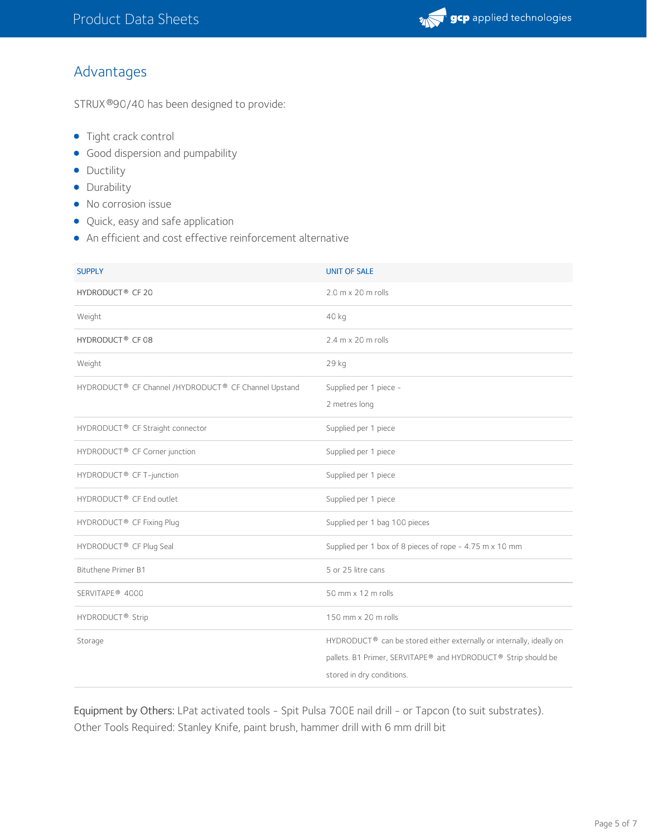

## Advantages

STRUX ®90/40 has been designed to provide:

- Tight crack control
- **Good dispersion and pumpability**
- Ductility
- Durability
- No corrosion issue
- Quick, easy and safe application
- An efficient and cost effective reinforcement alternative

| <b>SUPPLY</b>                                        | <b>UNIT OF SALE</b>                                                                                                                                                |
|------------------------------------------------------|--------------------------------------------------------------------------------------------------------------------------------------------------------------------|
| HYDRODUCT <sup>®</sup> CF 20                         | 2.0 m x 20 m rolls                                                                                                                                                 |
| Weight                                               | 40 kg                                                                                                                                                              |
| HYDRODUCT <sup>®</sup> CF 08                         | 2.4 m x 20 m rolls                                                                                                                                                 |
| Weight                                               | 29 kg                                                                                                                                                              |
| HYDRODUCT® CF Channel /HYDRODUCT® CF Channel Upstand | Supplied per 1 piece -<br>2 metres long                                                                                                                            |
| HYDRODUCT® CF Straight connector                     | Supplied per 1 piece                                                                                                                                               |
| HYDRODUCT® CF Corner junction                        | Supplied per 1 piece                                                                                                                                               |
| HYDRODUCT <sup>®</sup> CF T-junction                 | Supplied per 1 piece                                                                                                                                               |
| HYDRODUCT <sup>®</sup> CF End outlet                 | Supplied per 1 piece                                                                                                                                               |
| HYDRODUCT <sup>®</sup> CF Fixing Plug                | Supplied per 1 bag 100 pieces                                                                                                                                      |
| HYDRODUCT <sup>®</sup> CF Plug Seal                  | Supplied per 1 box of 8 pieces of rope - 4.75 m x 10 mm                                                                                                            |
| <b>Bituthene Primer B1</b>                           | 5 or 25 litre cans                                                                                                                                                 |
| SERVITAPE <sup>®</sup> 4000                          | $50$ mm $\times$ 12 m rolls                                                                                                                                        |
| HYDRODUCT <sup>®</sup> Strip                         | 150 mm x 20 m rolls                                                                                                                                                |
| Storage                                              | HYDRODUCT® can be stored either externally or internally, ideally on<br>pallets. B1 Primer, SERVITAPE® and HYDRODUCT® Strip should be<br>stored in dry conditions. |

Equipment by Others: LPat activated tools - Spit Pulsa 700E nail drill - or Tapcon (to suit substrates). Other Tools Required: Stanley Knife, paint brush, hammer drill with 6 mm drill bit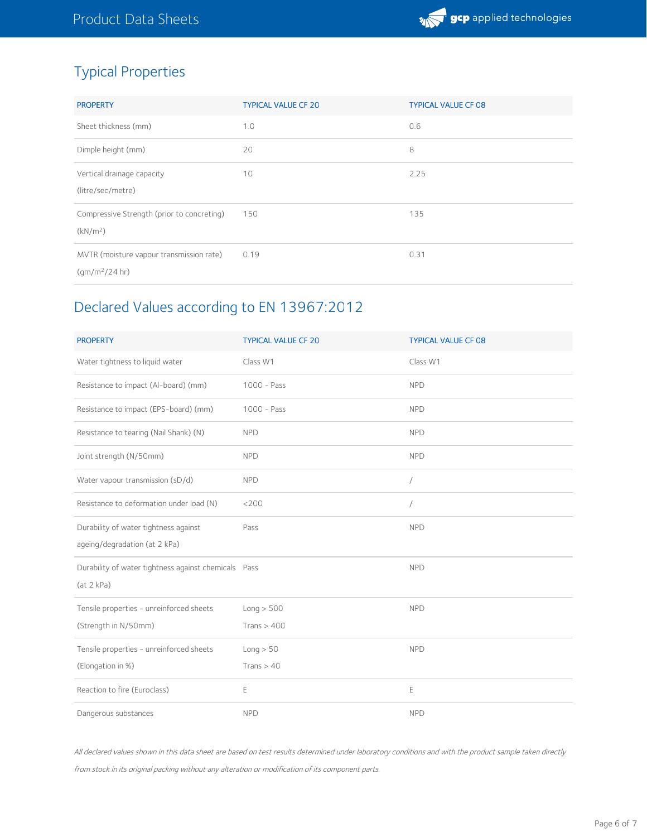# Typical Properties

| <b>PROPERTY</b>                                                                      | <b>TYPICAL VALUE CF 20</b> | <b>TYPICAL VALUE CF 08</b> |
|--------------------------------------------------------------------------------------|----------------------------|----------------------------|
| Sheet thickness (mm)                                                                 | 1.0                        | 0.6                        |
| Dimple height (mm)                                                                   | 20                         | 8                          |
| Vertical drainage capacity<br>(litre/sec/metre)                                      | 10                         | 2.25                       |
| Compressive Strength (prior to concreting)<br>(kN/m <sup>2</sup> )                   | 150                        | 135                        |
| MVTR (moisture vapour transmission rate)<br>$\frac{1}{2}$ (qm/m <sup>2</sup> /24 hr) | 0.19                       | 0.31                       |

# Declared Values according to EN 13967:2012

| <b>PROPERTY</b>                                      | <b>TYPICAL VALUE CF 20</b> | <b>TYPICAL VALUE CF 08</b> |
|------------------------------------------------------|----------------------------|----------------------------|
| Water tightness to liquid water                      | Class W1                   | Class W1                   |
| Resistance to impact (Al-board) (mm)                 | $1000 - Pass$              | <b>NPD</b>                 |
| Resistance to impact (EPS-board) (mm)                | $1000 - Pass$              | <b>NPD</b>                 |
| Resistance to tearing (Nail Shank) (N)               | <b>NPD</b>                 | <b>NPD</b>                 |
| Joint strength (N/50mm)                              | <b>NPD</b>                 | <b>NPD</b>                 |
| Water vapour transmission (sD/d)                     | <b>NPD</b>                 | /                          |
| Resistance to deformation under load (N)             | <200                       | $\sqrt{2}$                 |
| Durability of water tightness against                | Pass                       | <b>NPD</b>                 |
| ageing/degradation (at 2 kPa)                        |                            |                            |
| Durability of water tightness against chemicals Pass |                            | <b>NPD</b>                 |
| (at 2 kPa)                                           |                            |                            |
| Tensile properties - unreinforced sheets             | Long > 500                 | <b>NPD</b>                 |
| (Strength in N/50mm)                                 | Trans $> 400$              |                            |
| Tensile properties - unreinforced sheets             | Long > 50                  | <b>NPD</b>                 |
| (Elongation in %)                                    | Trans $> 40$               |                            |
| Reaction to fire (Euroclass)                         | E                          | E                          |
| Dangerous substances                                 | <b>NPD</b>                 | <b>NPD</b>                 |

All declared values shown in this data sheet are based on test results determined under laboratory conditions and with the product sample taken directly from stock in its original packing without any alteration or modification of its component parts.